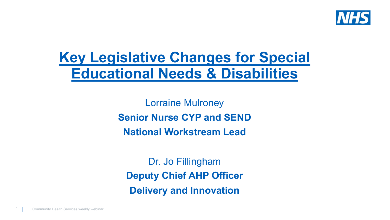

# **Key Legislative Changes for Special Educational Needs & Disabilities**

Lorraine Mulroney **Senior Nurse CYP and SEND National Workstream Lead**

Dr. Jo Fillingham **Deputy Chief AHP Officer Delivery and Innovation**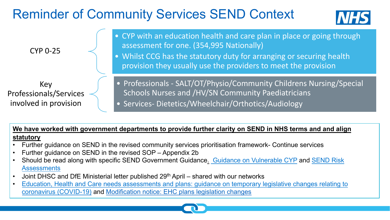# **Reminder of Community Services SEND**



**We have worked with government departments to provide further clarity on § statutory**

- Further guidance on SEND in the revised community services prioritisation fran
- Further guidance on SEND in the revised SOP Appendix 2b
- Should be read along with specific SEND Government Guidance. Guidance or **Assessments**
- Joint DHSC and DfE Ministerial letter published 29<sup>th</sup> April shared with our networks
- coronavirus (COVID-19) and Modification notice: EHC plans legislation changes Education, Health and Care needs assessments and plans: guidance on temporary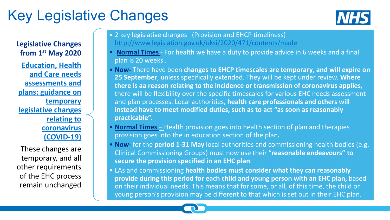# K[ey Legisla](https://www.gov.uk/government/publications/changes-to-the-law-on-education-health-and-care-needs-assessments-and-plans-due-to-coronavirus)tive Changes

#### **Legislative Changes from 1st May 2020**

**Education, Health and Care needs assessments and plans: guidance on temporary legislative changes relating to coronavirus (COVID-19)**

These changes are temporary, and all other requirements of the EHC process remain unchanged

- 2 key legislative changes (Provision and EHC http://www.legislation.gov.uk/uksi/2020/471
- **Normal Times** For health we have a duty to plan is 20 weeks .
- **Now-** There have been changes to EHCP time **25 September**, unless specifically extended. The there is aa reason relating to the incidence o there will be flexibility over the specific times and plan processes. Local authorities, health **instead have to meet modified duties, such as practicable".**
- **Normal Times** Health provision goes into he provision goes into the in education section of
- **Now-** for the **period 1-31 May** local authorities **Clinical Commissioning Groups) must now use secure the provision specified in an EHC plan**.
- young person's provision may be different to • LAs and commissioning health bodies must c provide during this period for each child and on their individual needs. This means that for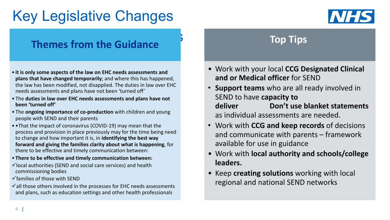# Key Legislative Changes



### **Themes from the Guidance**

- **it is only some aspects of the law on EHC needs assessments and plans that have changed temporarily**; and where this has happened, the law has been modified, not disapplied. The duties in law over EHC needs assessments and plans have not been 'turned off'
- The **duties in law over EHC needs assessments and plans have not been 'turned off'**
- The **ongoing importance of co-production** with children and young people with SEND and their parents
- •That the impact of coronavirus (COVID-19) may mean that the process and provision in place previously may for the time being need to change and how important it is, in **identifying the best way forward and giving the families clarity about what is happening**, for there to be effective and timely communication between:
- **There to be effective and timely communication between:**
- $\checkmark$  local authorities (SEND and social care services) and health commissioning bodies
- $\checkmark$  families of those with SEND
- $\checkmark$  all those others involved in the processes for EHC needs assessments and plans, such as education settings and other health professionals

### **Top Tips**

- Work with your local **CCG Designated Clinical and or Medical officer** for SEND
- **Support teams** who are all ready involved in SEND to have **capacity to deliver Don't use blanket statements**  as individual assessments are needed.
- Work with **CCG and keep records** of decisions and communicate with parents – framework available for use in guidance
- Work with **local authority and schools/college leaders.**
- Keep **creating solutions** working with local regional and national SEND networks